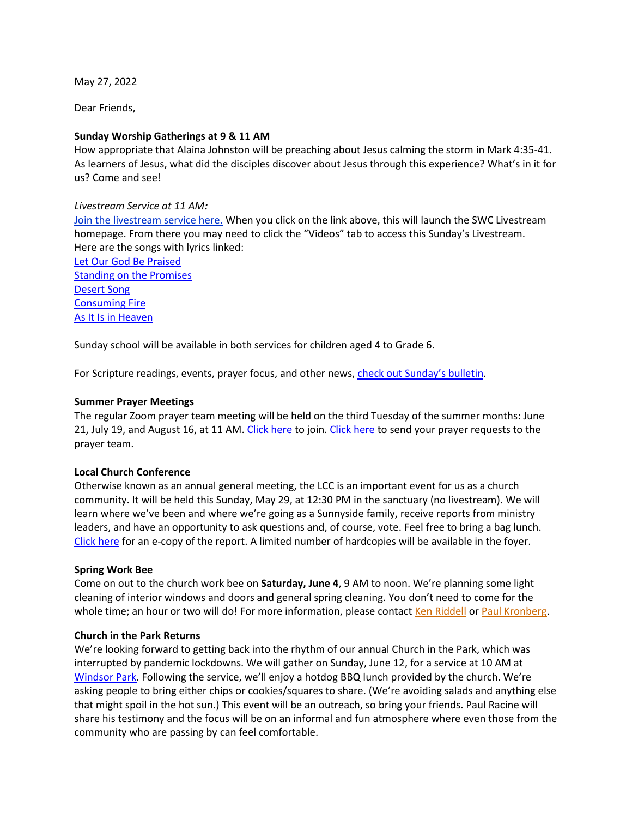May 27, 2022

Dear Friends,

## **Sunday Worship Gatherings at 9 & 11 AM**

How appropriate that Alaina Johnston will be preaching about Jesus calming the storm in Mark 4:35-41. As learners of Jesus, what did the disciples discover about Jesus through this experience? What's in it for us? Come and see!

#### *Livestream Service at 11 AM:*

Join the livestream service here. When you click on the link above, this will launch the SWC Livestream homepage. From there you may need to click the "Videos" tab to access this Sunday's Livestream. Here are the songs with lyrics linked:

Let Our God Be Praised Standing on the Promises Desert Song Consuming Fire As It Is in Heaven

Sunday school will be available in both services for children aged 4 to Grade 6.

For Scripture readings, events, prayer focus, and other news, check out Sunday's bulletin.

## **Summer Prayer Meetings**

The regular Zoom prayer team meeting will be held on the third Tuesday of the summer months: June 21, July 19, and August 16, at 11 AM. Click here to join. Click here to send your prayer requests to the prayer team.

#### **Local Church Conference**

Otherwise known as an annual general meeting, the LCC is an important event for us as a church community. It will be held this Sunday, May 29, at 12:30 PM in the sanctuary (no livestream). We will learn where we've been and where we're going as a Sunnyside family, receive reports from ministry leaders, and have an opportunity to ask questions and, of course, vote. Feel free to bring a bag lunch. Click here for an e-copy of the report. A limited number of hardcopies will be available in the foyer.

#### **Spring Work Bee**

Come on out to the church work bee on **Saturday, June 4**, 9 AM to noon. We're planning some light cleaning of interior windows and doors and general spring cleaning. You don't need to come for the whole time; an hour or two will do! For more information, please contact Ken Riddell or Paul Kronberg.

#### **Church in the Park Returns**

We're looking forward to getting back into the rhythm of our annual Church in the Park, which was interrupted by pandemic lockdowns. We will gather on Sunday, June 12, for a service at 10 AM at Windsor Park. Following the service, we'll enjoy a hotdog BBQ lunch provided by the church. We're asking people to bring either chips or cookies/squares to share. (We're avoiding salads and anything else that might spoil in the hot sun.) This event will be an outreach, so bring your friends. Paul Racine will share his testimony and the focus will be on an informal and fun atmosphere where even those from the community who are passing by can feel comfortable.